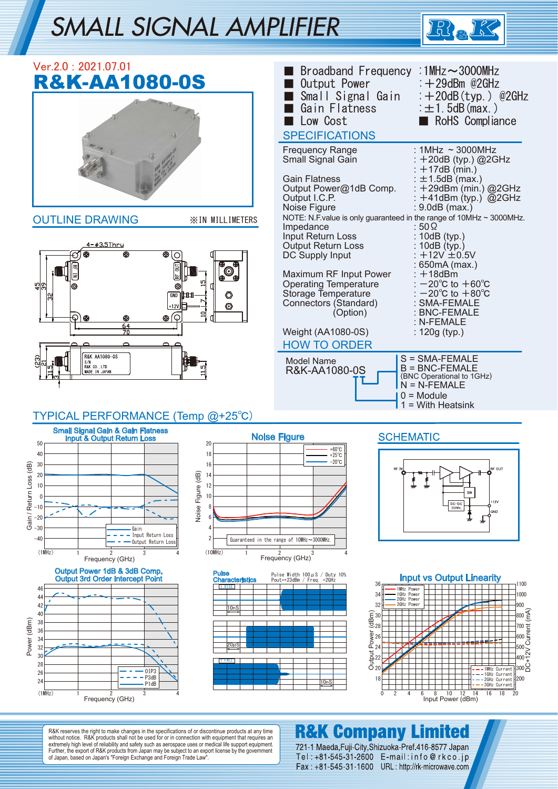# SMALL SIGNAL AMPLIFIER



|                         | Ver.2.0: 2021.07.01<br><b>R&amp;K-AA1080-0S</b>                                                                                                                                                                                                                                                                                       | Broadband Frequency: 1MHz~3000MHz<br>Output Power<br>Small Signal Gain<br>Gain Flatness<br>Low Cost<br><b>SPECIFICATIONS</b>                                                                                                                                                                                                                                                                                                               | $\div$ +29dBm @2GHz<br>: $+20dB(typ.)$ @2GHz<br>$\pm 1.5$ dB (max.)<br>RoHS Compliance                                                                                                                                                                            |
|-------------------------|---------------------------------------------------------------------------------------------------------------------------------------------------------------------------------------------------------------------------------------------------------------------------------------------------------------------------------------|--------------------------------------------------------------------------------------------------------------------------------------------------------------------------------------------------------------------------------------------------------------------------------------------------------------------------------------------------------------------------------------------------------------------------------------------|-------------------------------------------------------------------------------------------------------------------------------------------------------------------------------------------------------------------------------------------------------------------|
|                         |                                                                                                                                                                                                                                                                                                                                       | <b>Frequency Range</b><br>Small Signal Gain<br><b>Gain Flatness</b><br>Output Power@1dB Comp.<br>Output I.C.P.<br>Noise Figure                                                                                                                                                                                                                                                                                                             | : $1MHz \approx 3000MHz$<br>$+20$ dB (typ.) @2GHz<br>$+17dB$ (min.)<br>: $\pm$ 1.5dB (max.)<br>$+29$ dBm (min.) @2GHz<br>: $+41$ dBm (typ.) @2GHz<br>: 9.0dB (max.)                                                                                               |
|                         | <b>OUTLINE DRAWING</b><br><b>XIN MILLIMETERS</b><br>4-03.5Thru<br>⊛<br>⊚<br>◉<br>GND<br>O<br>ᄪ<br>◎<br>$+12V$<br>′♀<br>€<br>⊛<br>⊛<br>⊛<br>64<br>70<br>R&K AA1080-0S                                                                                                                                                                  | NOTE: N.F. value is only guaranteed in the range of 10MHz ~ 3000MHz.<br>Impedance<br>Input Return Loss<br>Output Return Loss<br>DC Supply Input<br>Maximum RF Input Power<br><b>Operating Temperature</b><br>Storage Temperature<br>Connectors (Standard)<br>(Option)<br>Weight (AA1080-0S)<br><b>HOW TO ORDER</b>                                                                                                                         | : 50 $\Omega$<br>: 10dB (typ.)<br>: 10dB (typ.)<br>: $+12V + 0.5V$<br>: 650mA (max.)<br>: +18dBm<br>$-20^{\circ}$ C to $+60^{\circ}$ C<br>$-20^{\circ}$ C to $+80^{\circ}$ C<br>: SMA-FEMALE<br>: BNC-FEMALE<br>: N-FEMALE<br>: $120g$ (typ.)<br>S = SMA-FEMALE   |
|                         | S/N<br>R&K CO., LTD<br>MADE IN JAPAN<br>TYPICAL PERFORMANCE (Temp @+25°C)                                                                                                                                                                                                                                                             | Model Name<br>R&K-AA1080-0S                                                                                                                                                                                                                                                                                                                                                                                                                | $B = BNC$ -FEMALE<br>(BNC Operational to 1GHz)<br>$N = N$ -FEMALE<br>$0 =$ Module<br>$=$ With Heatsink                                                                                                                                                            |
| Gain / Return Loss (dB) | <b>Small Signal Gain &amp; Gain Flatness</b><br><b>Input &amp; Output Return Loss</b><br>50<br>20<br>40<br>18<br>30<br>16<br>Noise Figure (dB)<br>20<br>14<br>12<br>10<br>10<br>$\mathbf 0$<br>-10<br>-20<br>$-30$<br>Gain<br>Input Return Loss<br>2<br>$-40$<br>Output Return Loss<br>3<br>(10MHz)<br>(1MHz)<br>2<br>Frequency (GHz) | <b>Noise Figure</b><br><b>SCHEMATIC</b><br>$+60^{\circ}$ C<br>$+25^{\circ}$ C<br>-20°C<br>RF<br>Guaranteed in the range of 10MHz~3000MHz.<br>2<br>Frequency (GHz)                                                                                                                                                                                                                                                                          | RF OUT<br>$+12V$<br>$DC-DC$<br>CONV.<br>GND<br>╫                                                                                                                                                                                                                  |
| Power (dBm)             | Output Power 1dB & 3dB Comp.<br><b>Pulse</b><br><b>Output 3rd Order Intercept Point</b><br><b>Characteristics</b><br>t RISE<br>46<br>44<br>42<br>10nS<br>40<br>38<br>36<br>34<br>20μS<br>32<br>30<br>t FALL<br>28<br>0IP3<br>26<br>P3dB<br>24<br>P1dB<br>(1MHz)<br>2<br>3<br>Frequency (GHz)                                          | Pulse Width $100 \mu$ S / Duty $10\%$<br>Pout=+23dBm / Freq. =2GHz<br>36 <sub>1</sub><br>1MHz Power<br>1GHz Power<br>34<br>2GHz Power<br>32<br>3GHz Power<br>$\widehat{\mathbb{E}}_{28}^{30}$<br>$\frac{1}{2}$ $\frac{1}{2}$ $\frac{1}{2}$ $\frac{1}{2}$ $\frac{1}{2}$ $\frac{1}{2}$ $\frac{1}{2}$ $\frac{1}{2}$ $\frac{1}{2}$ $\frac{1}{2}$ $\frac{1}{2}$ $\frac{1}{2}$ $\frac{1}{2}$ $\frac{1}{2}$ $\frac{1}{2}$<br>18<br>10nS<br>2<br>0 | <b>Input vs Output Linearity</b><br>1100<br>1000<br>900<br>$\frac{2}{5}$<br>700<br>600<br>600<br>500<br>500<br>500<br>500<br>500<br>1MHz Current<br>1GHz Current<br>2GHz Current 200<br>3GHz Current<br>3 8 10 12 14<br>Input Power (dBm)<br>16<br>18<br>6<br>-20 |

R&K reserves the right to make changes in the specifications of or discontinue products at any time<br>without notice. R&K products shall not be used for or in connection with equipment that requires an<br>extremely high level o

## **R&K Company Limited**

721-1 Maeda, Fuji-City, Shizuoka-Pref. 416-8577 Japan<br>Tel: +81-545-31-2600 E-mail: info@rkco.jp Fax: +81-545-31-1600 URL: http://rk-microwave.com